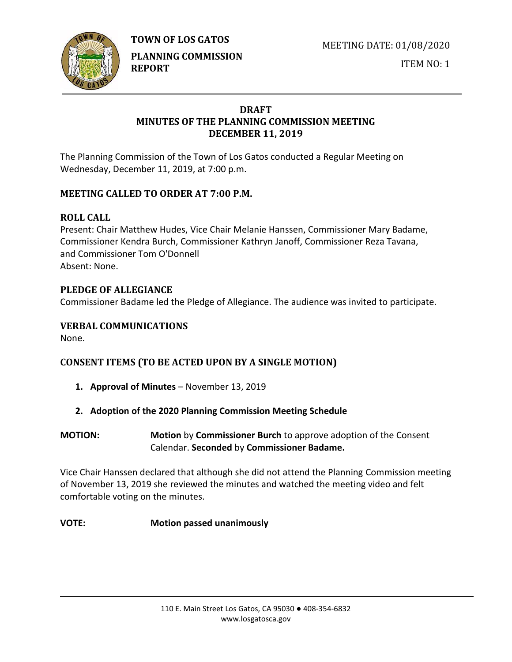**TOWN OF LOS GATOS** 



**PLANNING COMMISSION REPORT**

MEETING DATE: 01/08/2020

ITEM NO: 1

# **DRAFT MINUTES OF THE PLANNING COMMISSION MEETING DECEMBER 11, 2019**

The Planning Commission of the Town of Los Gatos conducted a Regular Meeting on Wednesday, December 11, 2019, at 7:00 p.m.

# **MEETING CALLED TO ORDER AT 7:00 P.M.**

# **ROLL CALL**

Present: Chair Matthew Hudes, Vice Chair Melanie Hanssen, Commissioner Mary Badame, Commissioner Kendra Burch, Commissioner Kathryn Janoff, Commissioner Reza Tavana, and Commissioner Tom O'Donnell Absent: None.

# **PLEDGE OF ALLEGIANCE**

Commissioner Badame led the Pledge of Allegiance. The audience was invited to participate.

# **VERBAL COMMUNICATIONS**

None.

# **CONSENT ITEMS (TO BE ACTED UPON BY A SINGLE MOTION)**

- **1. Approval of Minutes** November 13, 2019
- **2. Adoption of the 2020 Planning Commission Meeting Schedule**
- **MOTION: Motion** by **Commissioner Burch** to approve adoption of the Consent Calendar. **Seconded** by **Commissioner Badame.**

Vice Chair Hanssen declared that although she did not attend the Planning Commission meeting of November 13, 2019 she reviewed the minutes and watched the meeting video and felt comfortable voting on the minutes.

## **VOTE: Motion passed unanimously**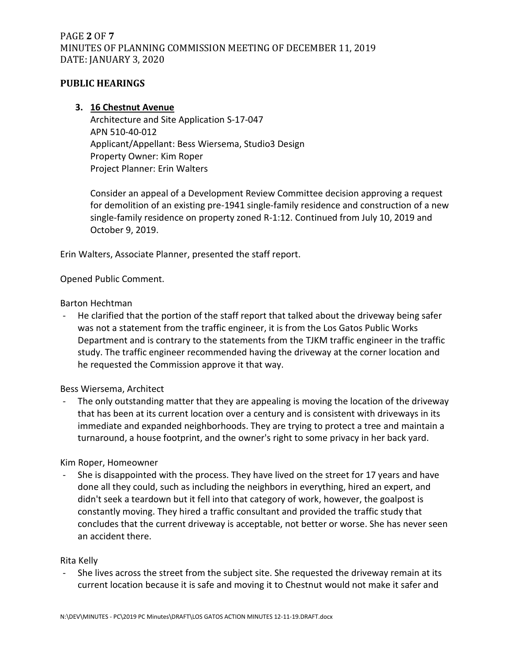# PAGE **2** OF **7** MINUTES OF PLANNING COMMISSION MEETING OF DECEMBER 11, 2019 DATE: JANUARY 3, 2020

## **PUBLIC HEARINGS**

## **3. 16 Chestnut Avenue**

Architecture and Site Application S-17-047 APN 510-40-012 Applicant/Appellant: Bess Wiersema, Studio3 Design Property Owner: Kim Roper Project Planner: Erin Walters

Consider an appeal of a Development Review Committee decision approving a request for demolition of an existing pre-1941 single-family residence and construction of a new single-family residence on property zoned R-1:12. Continued from July 10, 2019 and October 9, 2019.

Erin Walters, Associate Planner, presented the staff report.

## Opened Public Comment.

#### Barton Hechtman

- He clarified that the portion of the staff report that talked about the driveway being safer was not a statement from the traffic engineer, it is from the Los Gatos Public Works Department and is contrary to the statements from the TJKM traffic engineer in the traffic study. The traffic engineer recommended having the driveway at the corner location and he requested the Commission approve it that way.

#### Bess Wiersema, Architect

The only outstanding matter that they are appealing is moving the location of the driveway that has been at its current location over a century and is consistent with driveways in its immediate and expanded neighborhoods. They are trying to protect a tree and maintain a turnaround, a house footprint, and the owner's right to some privacy in her back yard.

#### Kim Roper, Homeowner

She is disappointed with the process. They have lived on the street for 17 years and have done all they could, such as including the neighbors in everything, hired an expert, and didn't seek a teardown but it fell into that category of work, however, the goalpost is constantly moving. They hired a traffic consultant and provided the traffic study that concludes that the current driveway is acceptable, not better or worse. She has never seen an accident there.

#### Rita Kelly

She lives across the street from the subject site. She requested the driveway remain at its current location because it is safe and moving it to Chestnut would not make it safer and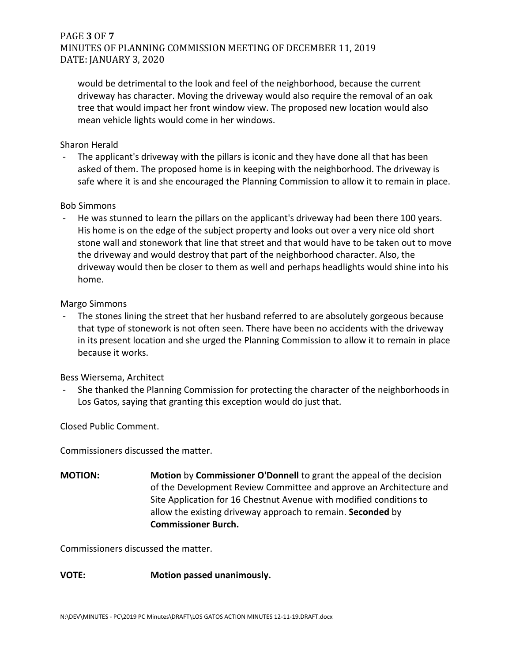# PAGE **3** OF **7** MINUTES OF PLANNING COMMISSION MEETING OF DECEMBER 11, 2019 DATE: JANUARY 3, 2020

would be detrimental to the look and feel of the neighborhood, because the current driveway has character. Moving the driveway would also require the removal of an oak tree that would impact her front window view. The proposed new location would also mean vehicle lights would come in her windows.

### Sharon Herald

- The applicant's driveway with the pillars is iconic and they have done all that has been asked of them. The proposed home is in keeping with the neighborhood. The driveway is safe where it is and she encouraged the Planning Commission to allow it to remain in place.

#### Bob Simmons

He was stunned to learn the pillars on the applicant's driveway had been there 100 years. His home is on the edge of the subject property and looks out over a very nice old short stone wall and stonework that line that street and that would have to be taken out to move the driveway and would destroy that part of the neighborhood character. Also, the driveway would then be closer to them as well and perhaps headlights would shine into his home.

#### Margo Simmons

The stones lining the street that her husband referred to are absolutely gorgeous because that type of stonework is not often seen. There have been no accidents with the driveway in its present location and she urged the Planning Commission to allow it to remain in place because it works.

## Bess Wiersema, Architect

- She thanked the Planning Commission for protecting the character of the neighborhoods in Los Gatos, saying that granting this exception would do just that.

Closed Public Comment.

Commissioners discussed the matter.

**MOTION: Motion** by **Commissioner O'Donnell** to grant the appeal of the decision of the Development Review Committee and approve an Architecture and Site Application for 16 Chestnut Avenue with modified conditions to allow the existing driveway approach to remain. **Seconded** by **Commissioner Burch.**

Commissioners discussed the matter.

## **VOTE: Motion passed unanimously.**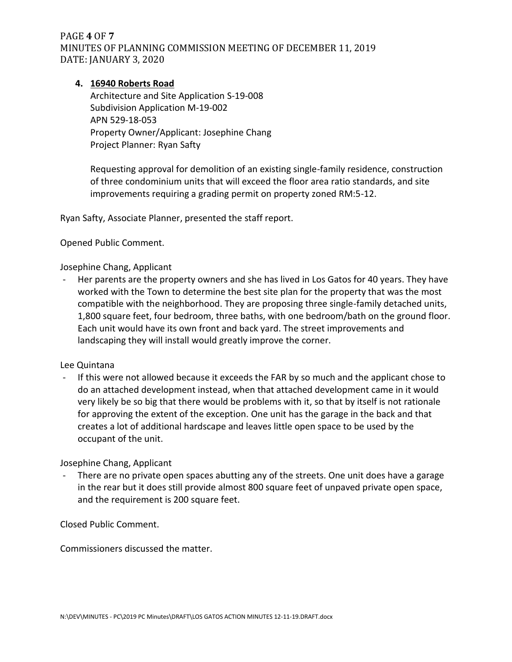PAGE **4** OF **7** MINUTES OF PLANNING COMMISSION MEETING OF DECEMBER 11, 2019 DATE: JANUARY 3, 2020

## **4. 16940 Roberts Road**

Architecture and Site Application S-19-008 Subdivision Application M-19-002 APN 529-18-053 Property Owner/Applicant: Josephine Chang Project Planner: Ryan Safty

Requesting approval for demolition of an existing single-family residence, construction of three condominium units that will exceed the floor area ratio standards, and site improvements requiring a grading permit on property zoned RM:5-12.

Ryan Safty, Associate Planner, presented the staff report.

Opened Public Comment.

Josephine Chang, Applicant

Her parents are the property owners and she has lived in Los Gatos for 40 years. They have worked with the Town to determine the best site plan for the property that was the most compatible with the neighborhood. They are proposing three single-family detached units, 1,800 square feet, four bedroom, three baths, with one bedroom/bath on the ground floor. Each unit would have its own front and back yard. The street improvements and landscaping they will install would greatly improve the corner.

#### Lee Quintana

- If this were not allowed because it exceeds the FAR by so much and the applicant chose to do an attached development instead, when that attached development came in it would very likely be so big that there would be problems with it, so that by itself is not rationale for approving the extent of the exception. One unit has the garage in the back and that creates a lot of additional hardscape and leaves little open space to be used by the occupant of the unit.

Josephine Chang, Applicant

There are no private open spaces abutting any of the streets. One unit does have a garage in the rear but it does still provide almost 800 square feet of unpaved private open space, and the requirement is 200 square feet.

Closed Public Comment.

Commissioners discussed the matter.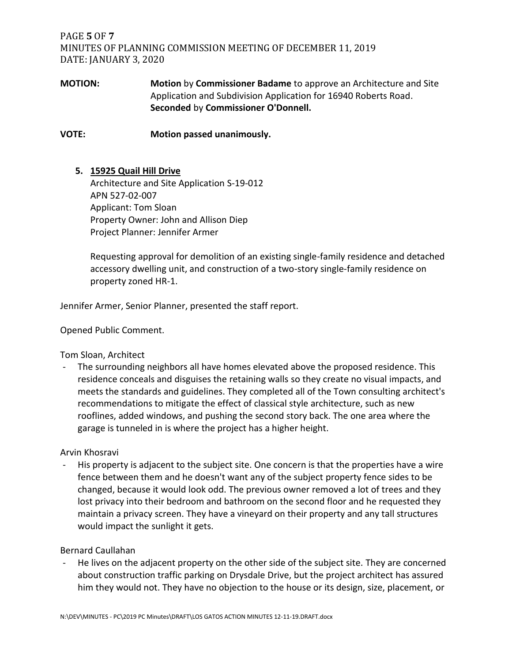PAGE **5** OF **7** MINUTES OF PLANNING COMMISSION MEETING OF DECEMBER 11, 2019 DATE: JANUARY 3, 2020

## **MOTION: Motion** by **Commissioner Badame** to approve an Architecture and Site Application and Subdivision Application for 16940 Roberts Road. **Seconded** by **Commissioner O'Donnell.**

**VOTE: Motion passed unanimously.**

## **5. 15925 Quail Hill Drive**

Architecture and Site Application S-19-012 APN 527-02-007 Applicant: Tom Sloan Property Owner: John and Allison Diep Project Planner: Jennifer Armer

Requesting approval for demolition of an existing single-family residence and detached accessory dwelling unit, and construction of a two-story single-family residence on property zoned HR-1.

Jennifer Armer, Senior Planner, presented the staff report.

Opened Public Comment.

Tom Sloan, Architect

The surrounding neighbors all have homes elevated above the proposed residence. This residence conceals and disguises the retaining walls so they create no visual impacts, and meets the standards and guidelines. They completed all of the Town consulting architect's recommendations to mitigate the effect of classical style architecture, such as new rooflines, added windows, and pushing the second story back. The one area where the garage is tunneled in is where the project has a higher height.

#### Arvin Khosravi

His property is adjacent to the subject site. One concern is that the properties have a wire fence between them and he doesn't want any of the subject property fence sides to be changed, because it would look odd. The previous owner removed a lot of trees and they lost privacy into their bedroom and bathroom on the second floor and he requested they maintain a privacy screen. They have a vineyard on their property and any tall structures would impact the sunlight it gets.

#### Bernard Caullahan

He lives on the adjacent property on the other side of the subject site. They are concerned about construction traffic parking on Drysdale Drive, but the project architect has assured him they would not. They have no objection to the house or its design, size, placement, or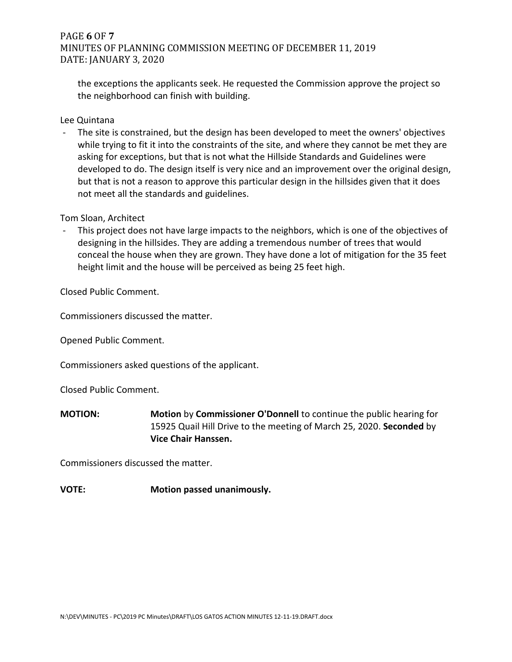## PAGE **6** OF **7** MINUTES OF PLANNING COMMISSION MEETING OF DECEMBER 11, 2019 DATE: JANUARY 3, 2020

the exceptions the applicants seek. He requested the Commission approve the project so the neighborhood can finish with building.

Lee Quintana

The site is constrained, but the design has been developed to meet the owners' objectives while trying to fit it into the constraints of the site, and where they cannot be met they are asking for exceptions, but that is not what the Hillside Standards and Guidelines were developed to do. The design itself is very nice and an improvement over the original design, but that is not a reason to approve this particular design in the hillsides given that it does not meet all the standards and guidelines.

Tom Sloan, Architect

This project does not have large impacts to the neighbors, which is one of the objectives of designing in the hillsides. They are adding a tremendous number of trees that would conceal the house when they are grown. They have done a lot of mitigation for the 35 feet height limit and the house will be perceived as being 25 feet high.

Closed Public Comment.

Commissioners discussed the matter.

Opened Public Comment.

Commissioners asked questions of the applicant.

Closed Public Comment.

**MOTION: Motion** by **Commissioner O'Donnell** to continue the public hearing for 15925 Quail Hill Drive to the meeting of March 25, 2020. **Seconded** by **Vice Chair Hanssen.**

Commissioners discussed the matter.

## **VOTE: Motion passed unanimously.**